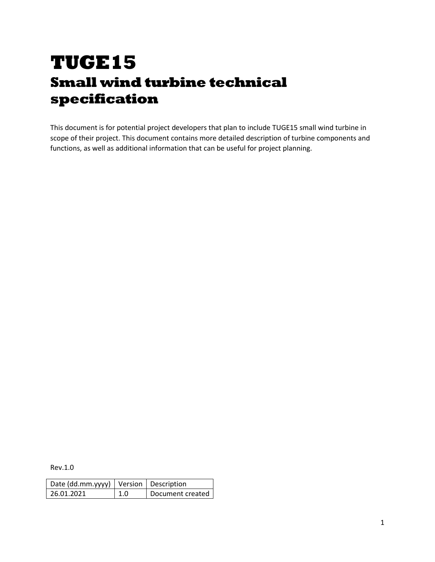# **TUGE15 Small wind turbine technical specification**

This document is for potential project developers that plan to include TUGE15 small wind turbine in scope of their project. This document contains more detailed description of turbine components and functions, as well as additional information that can be useful for project planning.

Rev.1.0

| Date (dd.mm.yyyy)   Version   Description |     |                  |  |
|-------------------------------------------|-----|------------------|--|
| 26.01.2021                                | 1.0 | Document created |  |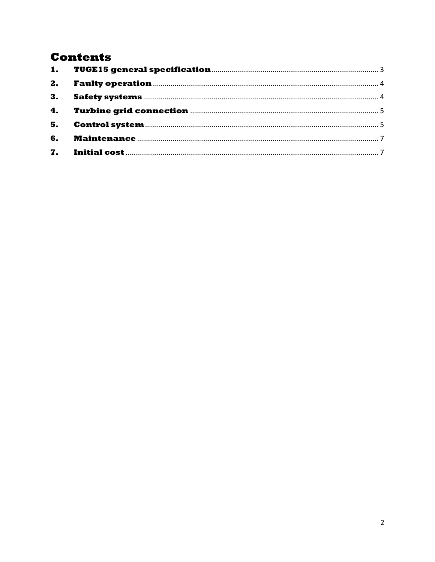# **Contents**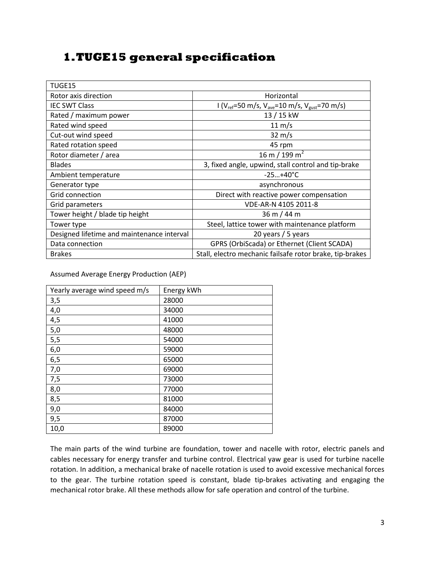## <span id="page-2-0"></span>**1.TUGE15 general specification**

| TUGE15                                     |                                                                                     |  |
|--------------------------------------------|-------------------------------------------------------------------------------------|--|
| Rotor axis direction                       | Horizontal                                                                          |  |
| <b>IEC SWT Class</b>                       | $1 (V_{ref} = 50 \text{ m/s}, V_{ave} = 10 \text{ m/s}, V_{gust} = 70 \text{ m/s})$ |  |
| Rated / maximum power                      | 13 / 15 kW                                                                          |  |
| Rated wind speed                           | $11 \text{ m/s}$                                                                    |  |
| Cut-out wind speed                         | $32 \text{ m/s}$                                                                    |  |
| Rated rotation speed                       | 45 rpm                                                                              |  |
| Rotor diameter / area                      | 16 m / 199 m <sup>2</sup>                                                           |  |
| <b>Blades</b>                              | 3, fixed angle, upwind, stall control and tip-brake                                 |  |
| Ambient temperature                        | $-25+40°C$                                                                          |  |
| Generator type                             | asynchronous                                                                        |  |
| Grid connection                            | Direct with reactive power compensation                                             |  |
| Grid parameters                            | VDE-AR-N 4105 2011-8                                                                |  |
| Tower height / blade tip height            | 36 m / 44 m                                                                         |  |
| Tower type                                 | Steel, lattice tower with maintenance platform                                      |  |
| Designed lifetime and maintenance interval | 20 years / 5 years                                                                  |  |
| Data connection                            | GPRS (OrbiScada) or Ethernet (Client SCADA)                                         |  |
| <b>Brakes</b>                              | Stall, electro mechanic failsafe rotor brake, tip-brakes                            |  |

Assumed Average Energy Production (AEP)

| Yearly average wind speed m/s | Energy kWh |
|-------------------------------|------------|
| 3,5                           | 28000      |
| 4,0                           | 34000      |
| 4,5                           | 41000      |
| 5,0                           | 48000      |
| 5,5                           | 54000      |
| 6,0                           | 59000      |
| 6,5                           | 65000      |
| 7,0                           | 69000      |
| 7,5                           | 73000      |
| 8,0                           | 77000      |
| 8,5                           | 81000      |
| 9,0                           | 84000      |
| 9,5                           | 87000      |
| 10,0                          | 89000      |

The main parts of the wind turbine are foundation, tower and nacelle with rotor, electric panels and cables necessary for energy transfer and turbine control. Electrical yaw gear is used for turbine nacelle rotation. In addition, a mechanical brake of nacelle rotation is used to avoid excessive mechanical forces to the gear. The turbine rotation speed is constant, blade tip-brakes activating and engaging the mechanical rotor brake. All these methods allow for safe operation and control of the turbine.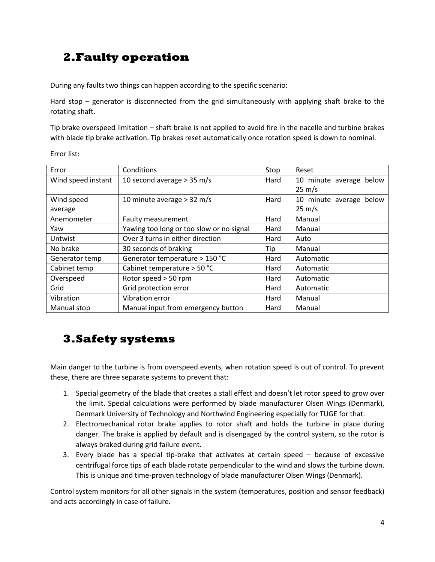# <span id="page-3-0"></span>**2.Faulty operation**

During any faults two things can happen according to the specific scenario:

Hard stop – generator is disconnected from the grid simultaneously with applying shaft brake to the rotating shaft.

Tip brake overspeed limitation – shaft brake is not applied to avoid fire in the nacelle and turbine brakes with blade tip brake activation. Tip brakes reset automatically once rotation speed is down to nominal.

Error list:

| Error              | Conditions                               | Stop | Reset                   |
|--------------------|------------------------------------------|------|-------------------------|
| Wind speed instant | 10 second average $>$ 35 m/s             | Hard | 10 minute average below |
|                    |                                          |      | $25 \text{ m/s}$        |
| Wind speed         | 10 minute average > 32 m/s               | Hard | 10 minute average below |
| average            |                                          |      | $25 \text{ m/s}$        |
| Anemometer         | Faulty measurement                       | Hard | Manual                  |
| Yaw                | Yawing too long or too slow or no signal | Hard | Manual                  |
| Untwist            | Over 3 turns in either direction         | Hard | Auto                    |
| No brake           | 30 seconds of braking                    | Tip  | Manual                  |
| Generator temp     | Generator temperature > 150 °C           | Hard | Automatic               |
| Cabinet temp       | Cabinet temperature > 50 °C              | Hard | Automatic               |
| Overspeed          | Rotor speed > 50 rpm                     | Hard | Automatic               |
| Grid               | Grid protection error                    | Hard | Automatic               |
| Vibration          | Vibration error                          | Hard | Manual                  |
| Manual stop        | Manual input from emergency button       | Hard | Manual                  |

#### <span id="page-3-1"></span>**3.Safety systems**

Main danger to the turbine is from overspeed events, when rotation speed is out of control. To prevent these, there are three separate systems to prevent that:

- 1. Special geometry of the blade that creates a stall effect and doesn't let rotor speed to grow over the limit. Special calculations were performed by blade manufacturer Olsen Wings (Denmark), Denmark University of Technology and Northwind Engineering especially for TUGE for that.
- 2. Electromechanical rotor brake applies to rotor shaft and holds the turbine in place during danger. The brake is applied by default and is disengaged by the control system, so the rotor is always braked during grid failure event.
- 3. Every blade has a special tip-brake that activates at certain speed because of excessive centrifugal force tips of each blade rotate perpendicular to the wind and slows the turbine down. This is unique and time-proven technology of blade manufacturer Olsen Wings (Denmark).

Control system monitors for all other signals in the system (temperatures, position and sensor feedback) and acts accordingly in case of failure.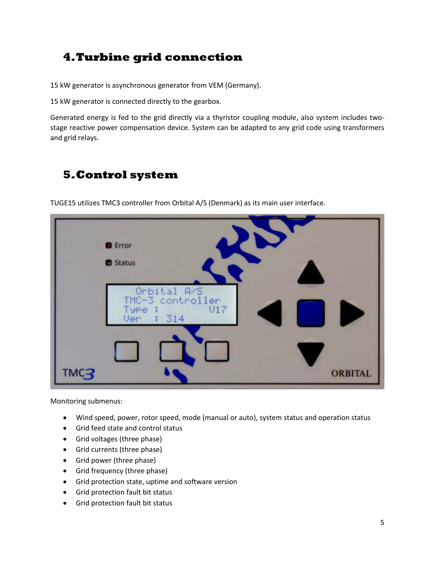# <span id="page-4-0"></span>**4.Turbine grid connection**

15 kW generator is asynchronous generator from VEM (Germany).

15 kW generator is connected directly to the gearbox.

Generated energy is fed to the grid directly via a thyristor coupling module, also system includes twostage reactive power compensation device. System can be adapted to any grid code using transformers and grid relays.

## <span id="page-4-1"></span>**5.Control system**

TUGE15 utilizes TMC3 controller from Orbital A/S (Denmark) as its main user interface.

|      | <b>O</b> Error<br><b>O</b> Status                     |                |
|------|-------------------------------------------------------|----------------|
|      | Orbital A/S<br>TMC-3 controller<br>U17<br>1314<br>Ven | ۰              |
| TMC3 |                                                       | <b>ORBITAL</b> |

Monitoring submenus:

- Wind speed, power, rotor speed, mode (manual or auto), system status and operation status
- Grid feed state and control status
- Grid voltages (three phase)
- Grid currents (three phase)
- Grid power (three phase)
- Grid frequency (three phase)
- Grid protection state, uptime and software version
- Grid protection fault bit status
- Grid protection fault bit status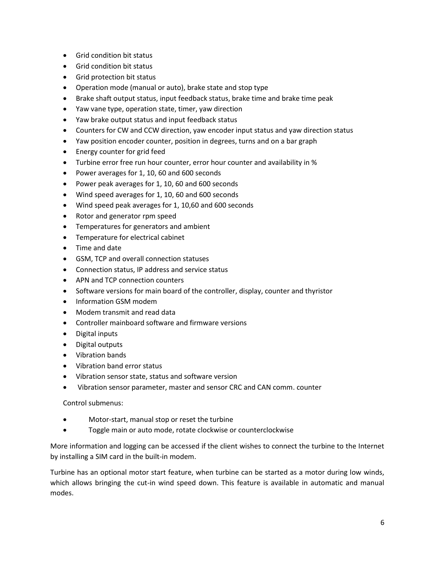- Grid condition bit status
- Grid condition bit status
- Grid protection bit status
- Operation mode (manual or auto), brake state and stop type
- Brake shaft output status, input feedback status, brake time and brake time peak
- Yaw vane type, operation state, timer, yaw direction
- Yaw brake output status and input feedback status
- Counters for CW and CCW direction, yaw encoder input status and yaw direction status
- Yaw position encoder counter, position in degrees, turns and on a bar graph
- **Energy counter for grid feed**
- Turbine error free run hour counter, error hour counter and availability in %
- Power averages for 1, 10, 60 and 600 seconds
- Power peak averages for 1, 10, 60 and 600 seconds
- Wind speed averages for 1, 10, 60 and 600 seconds
- Wind speed peak averages for 1, 10,60 and 600 seconds
- Rotor and generator rpm speed
- Temperatures for generators and ambient
- Temperature for electrical cabinet
- Time and date
- GSM, TCP and overall connection statuses
- Connection status, IP address and service status
- APN and TCP connection counters
- Software versions for main board of the controller, display, counter and thyristor
- Information GSM modem
- Modem transmit and read data
- Controller mainboard software and firmware versions
- Digital inputs
- Digital outputs
- Vibration bands
- Vibration band error status
- Vibration sensor state, status and software version
- Vibration sensor parameter, master and sensor CRC and CAN comm. counter

Control submenus:

- Motor-start, manual stop or reset the turbine
- **•** Toggle main or auto mode, rotate clockwise or counterclockwise

More information and logging can be accessed if the client wishes to connect the turbine to the Internet by installing a SIM card in the built-in modem.

Turbine has an optional motor start feature, when turbine can be started as a motor during low winds, which allows bringing the cut-in wind speed down. This feature is available in automatic and manual modes.